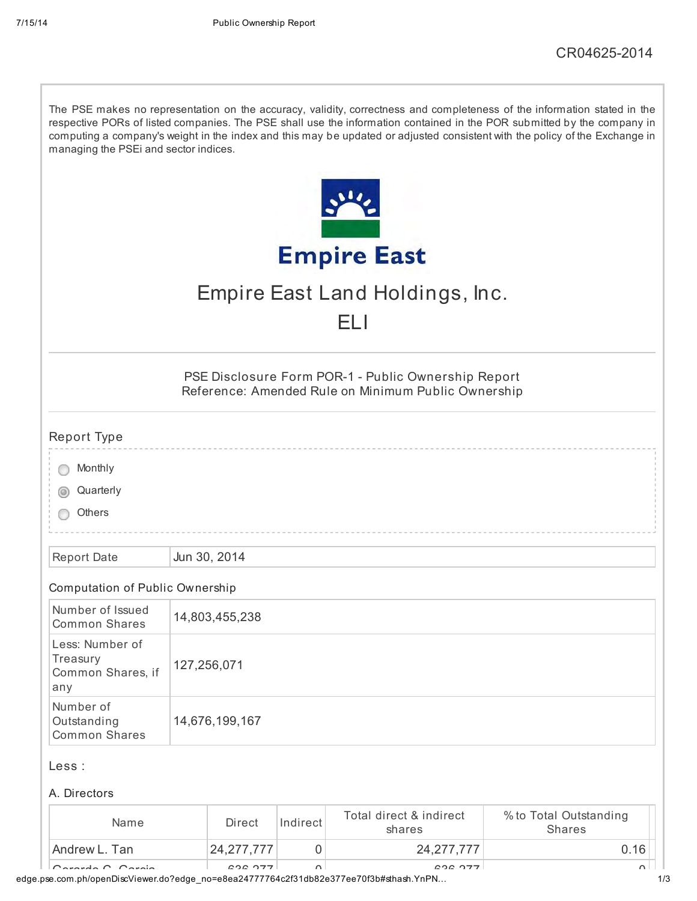| managing the PSEi and sector indices.                              |             |                |          |                                                                                                            | The PSE makes no representation on the accuracy, validity, correctness and completeness of the information stated in the<br>respective PORs of listed companies. The PSE shall use the information contained in the POR submitted by the company in<br>computing a company's weight in the index and this may be updated or adjusted consistent with the policy of the Exchange in |
|--------------------------------------------------------------------|-------------|----------------|----------|------------------------------------------------------------------------------------------------------------|------------------------------------------------------------------------------------------------------------------------------------------------------------------------------------------------------------------------------------------------------------------------------------------------------------------------------------------------------------------------------------|
|                                                                    |             |                |          |                                                                                                            |                                                                                                                                                                                                                                                                                                                                                                                    |
|                                                                    |             |                |          | <b>Empire East</b>                                                                                         |                                                                                                                                                                                                                                                                                                                                                                                    |
|                                                                    |             |                |          | Empire East Land Holdings, Inc.                                                                            |                                                                                                                                                                                                                                                                                                                                                                                    |
|                                                                    |             |                |          | EL I                                                                                                       |                                                                                                                                                                                                                                                                                                                                                                                    |
|                                                                    |             |                |          | PSE Disclosure Form POR-1 - Public Ownership Report<br>Reference: Amended Rule on Minimum Public Ownership |                                                                                                                                                                                                                                                                                                                                                                                    |
| Report Type                                                        |             |                |          |                                                                                                            |                                                                                                                                                                                                                                                                                                                                                                                    |
| Monthly                                                            |             |                |          |                                                                                                            |                                                                                                                                                                                                                                                                                                                                                                                    |
| Quarterly                                                          |             |                |          |                                                                                                            |                                                                                                                                                                                                                                                                                                                                                                                    |
| Others                                                             |             |                |          |                                                                                                            |                                                                                                                                                                                                                                                                                                                                                                                    |
| <b>Report Date</b>                                                 |             | Jun 30, 2014   |          |                                                                                                            |                                                                                                                                                                                                                                                                                                                                                                                    |
| Computation of Public Ownership                                    |             |                |          |                                                                                                            |                                                                                                                                                                                                                                                                                                                                                                                    |
| Number of Issued<br><b>Common Shares</b>                           |             | 14,803,455,238 |          |                                                                                                            |                                                                                                                                                                                                                                                                                                                                                                                    |
| Less: Number of<br>Treasury<br>Common Shares, if<br>any            | 127,256,071 |                |          |                                                                                                            |                                                                                                                                                                                                                                                                                                                                                                                    |
| Number of<br>14,676,199,167<br>Outstanding<br><b>Common Shares</b> |             |                |          |                                                                                                            |                                                                                                                                                                                                                                                                                                                                                                                    |
| Less :                                                             |             |                |          |                                                                                                            |                                                                                                                                                                                                                                                                                                                                                                                    |
| A. Directors                                                       |             |                |          |                                                                                                            |                                                                                                                                                                                                                                                                                                                                                                                    |
| Name                                                               |             | <b>Direct</b>  | Indirect | Total direct & indirect<br>shares                                                                          | % to Total Outstanding<br><b>Shares</b>                                                                                                                                                                                                                                                                                                                                            |
| Andrew L. Tan                                                      |             | 24, 277, 777   | 0        | 24, 277, 777                                                                                               | 0.16                                                                                                                                                                                                                                                                                                                                                                               |
| $r$ arda $\cap$ $\cap$ araia                                       |             | 000077         | $\sim$   | 000077                                                                                                     |                                                                                                                                                                                                                                                                                                                                                                                    |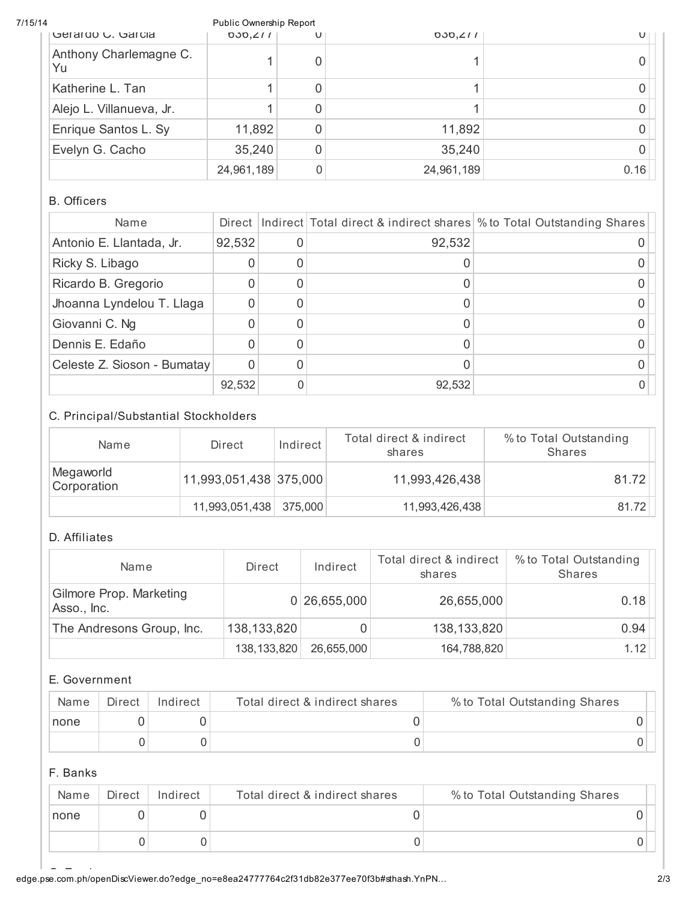| 7/15/14                      | Public Ownership Report |   |            |                              |
|------------------------------|-------------------------|---|------------|------------------------------|
| Gerardo G. Garcia            | 030, 211                | U | 030, 211   | $\mathsf{U} \mid \mathsf{I}$ |
| Anthony Charlemagne C.<br>Yu |                         |   |            |                              |
| Katherine L. Tan             |                         | 0 |            |                              |
| Alejo L. Villanueva, Jr.     |                         | 0 |            |                              |
| Enrique Santos L. Sy         | 11,892                  | 0 | 11,892     |                              |
| Evelyn G. Cacho              | 35,240                  | 0 | 35,240     |                              |
|                              | 24,961,189              | 0 | 24,961,189 | 0.16                         |

## B. Officers

| Name                        | Direct |        | Indirect Total direct & indirect shares \% to Total Outstanding Shares |
|-----------------------------|--------|--------|------------------------------------------------------------------------|
| Antonio E. Llantada, Jr.    | 92,532 | 92,532 |                                                                        |
| Ricky S. Libago             |        |        |                                                                        |
| Ricardo B. Gregorio         |        |        |                                                                        |
| Jhoanna Lyndelou T. Llaga   |        |        |                                                                        |
| Giovanni C. Ng              |        |        |                                                                        |
| Dennis E. Edaño             |        |        |                                                                        |
| Celeste Z. Sioson - Bumatay |        |        |                                                                        |
|                             | 92,532 | 92,532 |                                                                        |

# C. Principal/Substantial Stockholders

| Name                     | Direct                 | Indirect | Total direct & indirect<br>shares | % to Total Outstanding<br><b>Shares</b> |
|--------------------------|------------------------|----------|-----------------------------------|-----------------------------------------|
| Megaworld<br>Corporation | 11,993,051,438 375,000 |          | 11,993,426,438                    | 81.72                                   |
|                          | 11,993,051,438         | 375.000  | 11,993,426,438                    | 81.72                                   |

# D. Affiliates

| Name                                   | Direct        | Indirect     | Total direct & indirect<br>shares | % to Total Outstanding<br><b>Shares</b> |
|----------------------------------------|---------------|--------------|-----------------------------------|-----------------------------------------|
| Gilmore Prop. Marketing<br>Asso., Inc. |               | 0 26,655,000 | 26,655,000                        | 0.18                                    |
| The Andresons Group, Inc.              | 138,133,820   |              | 138,133,820                       | 0.94                                    |
|                                        | 138, 133, 820 | 26,655,000   | 164,788,820                       | 1.12                                    |

# E. Government

| Name | Direct | Indirect | Total direct & indirect shares | % to Total Outstanding Shares |  |
|------|--------|----------|--------------------------------|-------------------------------|--|
| none |        |          |                                |                               |  |
|      |        |          |                                |                               |  |

# F. Banks

| Name | Direct | Indirect | Total direct & indirect shares | % to Total Outstanding Shares |  |
|------|--------|----------|--------------------------------|-------------------------------|--|
| none |        |          |                                |                               |  |
|      |        |          |                                |                               |  |

edge.pse.com.ph/openDiscViewer.do?edge\_no=e8ea24777764c2f31db82e377ee70f3b#sthash.YnPN… 2/3 \_\_\_\_\_\_\_\_\_\_\_\_\_\_\_\_\_\_<br>Employees.com.ph/openDiscViewer.do?edge\_no=e8ea24777764c2f31db82e377ee70f3b#sthash.YnPN…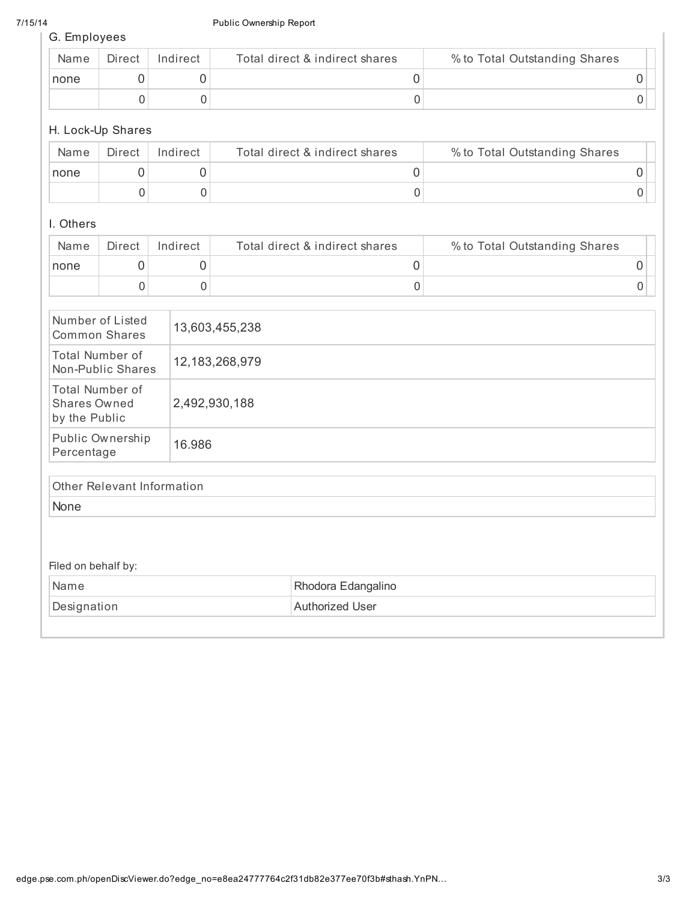#### 7/15/14 Public Ownership Report

G. Employees

| Name | Direct | Indirect | Total direct & indirect shares | % to Total Outstanding Shares |  |
|------|--------|----------|--------------------------------|-------------------------------|--|
| none |        |          |                                |                               |  |
|      |        |          |                                |                               |  |

## H. Lock-Up Shares

| Name | Direct | Indirect | Total direct & indirect shares | % to Total Outstanding Shares |  |
|------|--------|----------|--------------------------------|-------------------------------|--|
| none |        |          |                                |                               |  |
|      |        |          |                                |                               |  |

## I. Others

| Name | Direct | Indirect | Total direct & indirect shares | % to Total Outstanding Shares |  |
|------|--------|----------|--------------------------------|-------------------------------|--|
| none |        |          |                                |                               |  |
|      |        |          |                                |                               |  |

| Number of Listed<br>Common Shares                | 13,603,455,238 |
|--------------------------------------------------|----------------|
| Total Number of<br>Non-Public Shares             | 12,183,268,979 |
| Total Number of<br>Shares Owned<br>by the Public | 2,492,930,188  |
| Public Ownership<br>Percentage                   | 16.986         |
|                                                  |                |

# Other Relevant Information

None

## Filed on behalf by:

| Name        | Rhodora Edangalino |
|-------------|--------------------|
| Designation | Authorized User    |
|             |                    |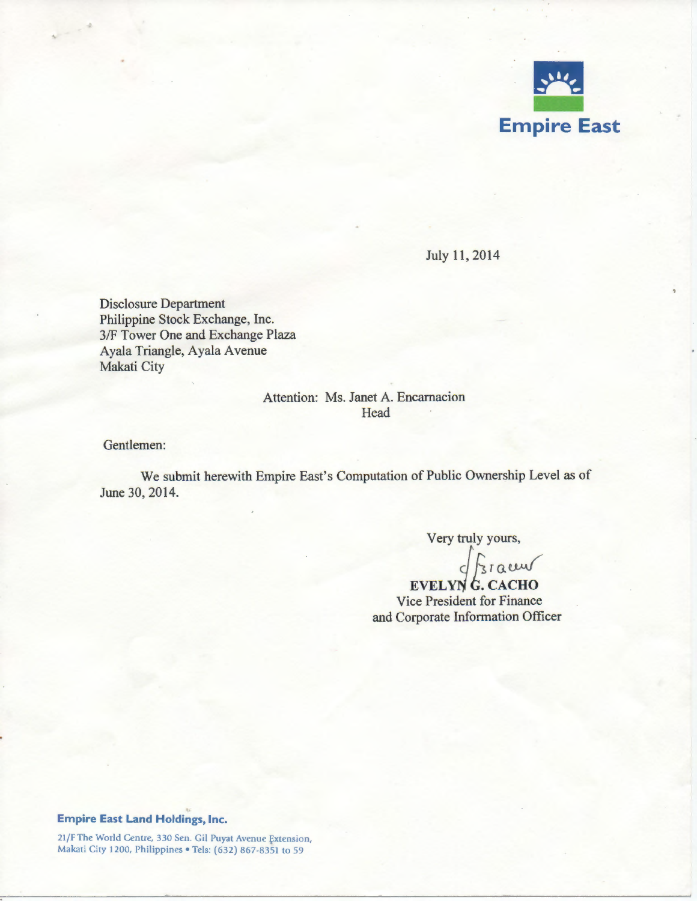

July 11, 2014

Disclosure Department Philippine Stock Exchange, Inc. 3/F Tower One and Exchange Plaza Ayala Triangle, Ayala A venue Makati City

# Attention: Ms. Janet A. Encarnacion **Head**

Gentlemen:

We submit herewith Empire East's Computation of Public Ownership Level as of June 30, 2014.

Very truly yours,

 $\sqrt{\frac{1}{3}}$ racuv

EVELYN<sup>G</sup>. CACHO Vice President for Finance and Corporate Information Officer

#### **Empire East Land Holdings, Inc.**

21/F The World Centre, 330 Sen. Gil Puyat Avenue Extension, Makati City 1200, Philippines • Tels: (632) 867-8351 to 59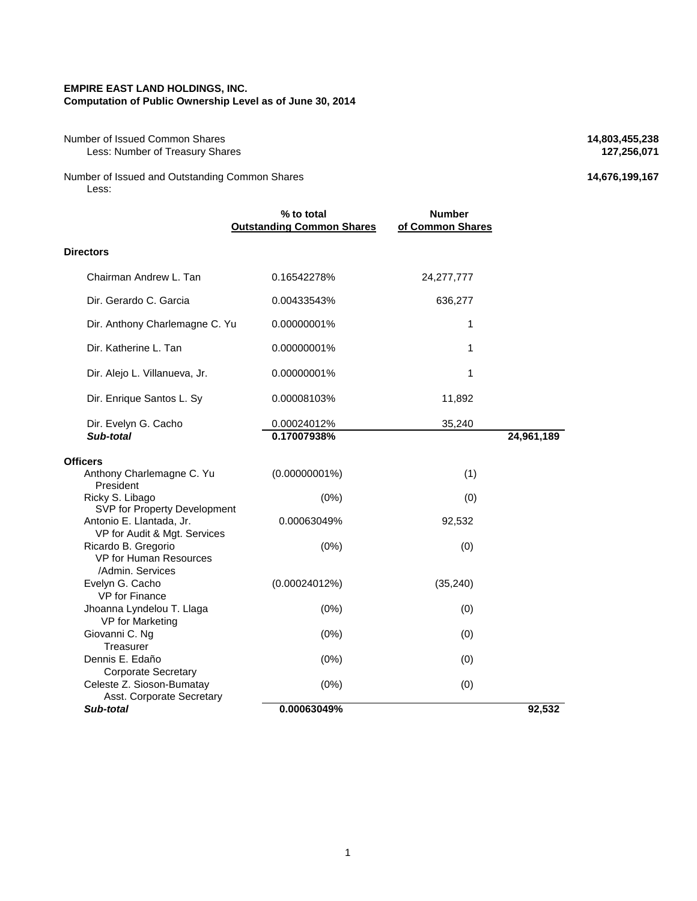#### **EMPIRE EAST LAND HOLDINGS, INC. Computation of Public Ownership Level as of June 30, 2014**

Number of Issued Common Shares **14,803,455,238**<br>Less: Number of Treasury Shares **127,256,071 127,256,071 Less: Number of Treasury Shares** 

Number of Issued and Outstanding Common Shares **14,676,199,167** Less:

|                                                                                      | % to total<br><b>Outstanding Common Shares</b> | <b>Number</b><br>of Common Shares |            |
|--------------------------------------------------------------------------------------|------------------------------------------------|-----------------------------------|------------|
| <b>Directors</b>                                                                     |                                                |                                   |            |
| Chairman Andrew L. Tan                                                               | 0.16542278%                                    | 24,277,777                        |            |
| Dir. Gerardo C. Garcia                                                               | 0.00433543%                                    | 636,277                           |            |
| Dir. Anthony Charlemagne C. Yu                                                       | 0.00000001%                                    | $\mathbf{1}$                      |            |
| Dir. Katherine L. Tan                                                                | 0.00000001%                                    | 1                                 |            |
| Dir. Alejo L. Villanueva, Jr.                                                        | 0.00000001%                                    | 1                                 |            |
| Dir. Enrique Santos L. Sy                                                            | 0.00008103%                                    | 11,892                            |            |
| Dir. Evelyn G. Cacho<br>Sub-total                                                    | 0.00024012%<br>0.17007938%                     | 35,240                            | 24,961,189 |
| Officers                                                                             |                                                |                                   |            |
| Anthony Charlemagne C. Yu<br>President                                               | $(0.00000001\%)$                               | (1)                               |            |
| Ricky S. Libago<br>SVP for Property Development                                      | (0%)                                           | (0)                               |            |
| Antonio E. Llantada, Jr.<br>VP for Audit & Mgt. Services                             | 0.00063049%                                    | 92,532                            |            |
| Ricardo B. Gregorio<br>VP for Human Resources<br>/Admin. Services                    | (0%)                                           | (0)                               |            |
| Evelyn G. Cacho<br><b>VP</b> for Finance                                             | (0.00024012%)                                  | (35, 240)                         |            |
| Jhoanna Lyndelou T. Llaga<br>VP for Marketing                                        | (0%)                                           | (0)                               |            |
| Giovanni C. Ng<br>Treasurer                                                          | (0%)                                           | (0)                               |            |
| Dennis E. Edaño                                                                      | (0%)                                           | (0)                               |            |
| <b>Corporate Secretary</b><br>Celeste Z. Sioson-Bumatay<br>Asst. Corporate Secretary | (0%)                                           | (0)                               |            |
| Sub-total                                                                            | 0.00063049%                                    |                                   | 92,532     |